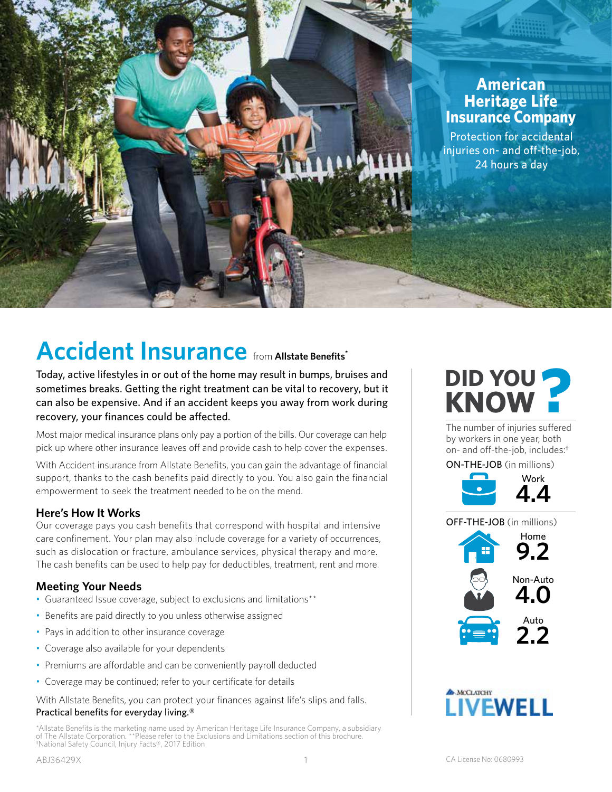

# **Accident Insurance** from **Allstate Benefits\***

Today, active lifestyles in or out of the home may result in bumps, bruises and sometimes breaks. Getting the right treatment can be vital to recovery, but it can also be expensive. And if an accident keeps you away from work during recovery, your finances could be affected.

Most major medical insurance plans only pay a portion of the bills. Our coverage can help pick up where other insurance leaves off and provide cash to help cover the expenses.

With Accident insurance from Allstate Benefits, you can gain the advantage of financial support, thanks to the cash benefits paid directly to you. You also gain the financial empowerment to seek the treatment needed to be on the mend.

## **Here's How It Works**

Our coverage pays you cash benefits that correspond with hospital and intensive care confinement. Your plan may also include coverage for a variety of occurrences, such as dislocation or fracture, ambulance services, physical therapy and more. The cash benefits can be used to help pay for deductibles, treatment, rent and more.

# **Meeting Your Needs**

- Guaranteed Issue coverage, subject to exclusions and limitations\*\*
- Benefits are paid directly to you unless otherwise assigned
- Pays in addition to other insurance coverage
- Coverage also available for your dependents
- Premiums are affordable and can be conveniently payroll deducted
- Coverage may be continued; refer to your certificate for details

With Allstate Benefits, you can protect your finances against life's slips and falls. Practical benefits for everyday living.®

\*Allstate Benefits is the marketing name used by American Heritage Life Insurance Company, a subsidiary of The Allstate Corporation. \*\*Please refer to the Exclusions and Limitations section of this brochure. **†** National Safety Council, Injury Facts®, 2017 Edition



The number of injuries suffered by workers in one year, both on- and off-the-job, includes:**†**

ON-THE-JOB (in millions)





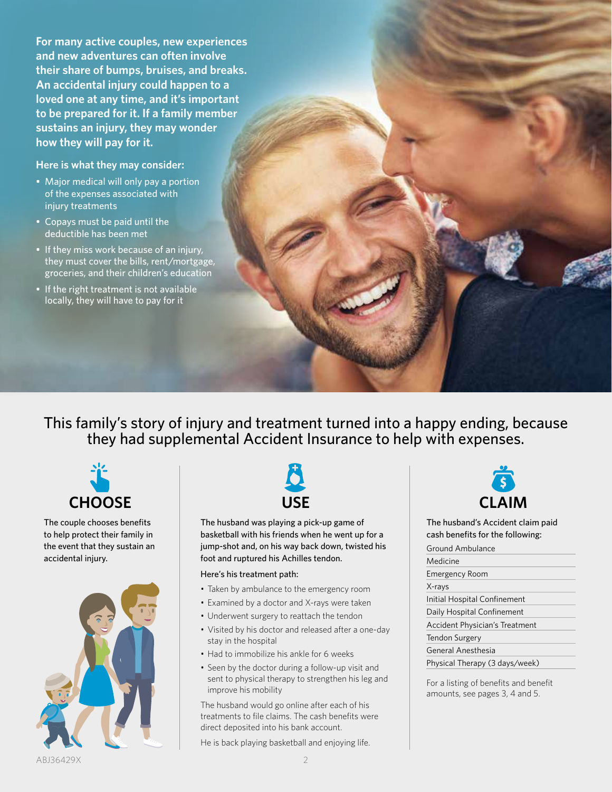**For many active couples, new experiences and new adventures can often involve their share of bumps, bruises, and breaks. An accidental injury could happen to a loved one at any time, and it's important to be prepared for it. If a family member sustains an injury, they may wonder how they will pay for it.**

## **Here is what they may consider:**

- Major medical will only pay a portion of the expenses associated with injury treatments
- Copays must be paid until the deductible has been met
- If they miss work because of an injury, they must cover the bills, rent/mortgage, groceries, and their children's education
- If the right treatment is not available locally, they will have to pay for it

This family's story of injury and treatment turned into a happy ending, because they had supplemental Accident Insurance to help with expenses.



The couple chooses benefits to help protect their family in the event that they sustain an accidental injury.





The husband was playing a pick-up game of basketball with his friends when he went up for a jump-shot and, on his way back down, twisted his foot and ruptured his Achilles tendon.

#### Here's his treatment path:

- Taken by ambulance to the emergency room
- Examined by a doctor and X-rays were taken
- Underwent surgery to reattach the tendon
- Visited by his doctor and released after a one-day stay in the hospital
- Had to immobilize his ankle for 6 weeks
- Seen by the doctor during a follow-up visit and sent to physical therapy to strengthen his leg and improve his mobility

The husband would go online after each of his treatments to file claims. The cash benefits were direct deposited into his bank account.

He is back playing basketball and enjoying life.



The husband's Accident claim paid cash benefits for the following:

## Ground Ambulance Medicine Emergency Room X-rays Initial Hospital Confinement Daily Hospital Confinement Accident Physician's Treatment Tendon Surgery General Anesthesia Physical Therapy (3 days/week)

For a listing of benefits and benefit amounts, see pages 3, 4 and 5.

ABJ36429X 2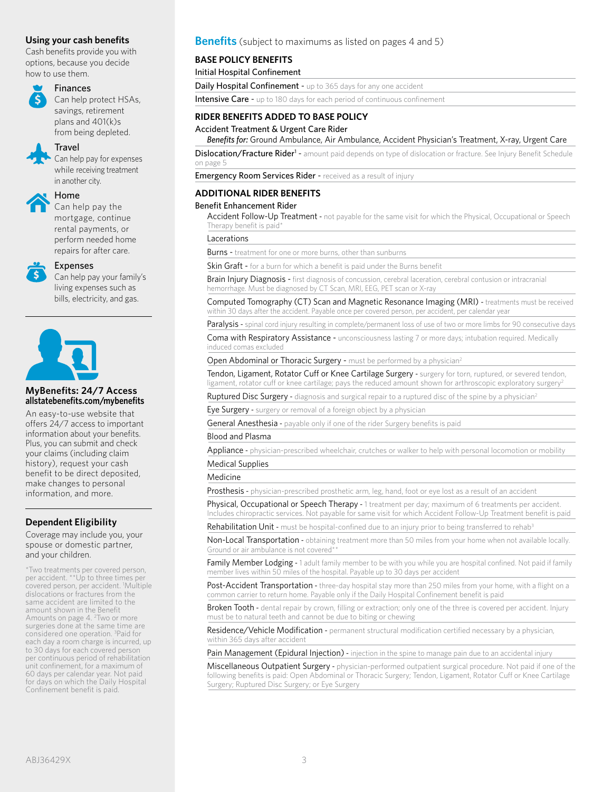## **Using your cash benefits**

Cash benefits provide you with options, because you decide how to use them.

# Finances

Can help protect HSAs, savings, retirement plans and 401(k)s

from being depleted.

## **Travel**

Can help pay for expenses while receiving treatment in another city.



#### Home

Can help pay the mortgage, continue rental payments, or perform needed home repairs for after care.



#### Expenses

Can help pay your family's living expenses such as bills, electricity, and gas.



#### **MyBenefits: 24/7 Access allstatebenefits.com/mybenefits**

An easy-to-use website that offers 24/7 access to important information about your benefits. Plus, you can submit and check your claims (including claim history), request your cash benefit to be direct deposited, make changes to personal information, and more.

## **Dependent Eligibility**

Coverage may include you, your spouse or domestic partner, and your children.

\*Two treatments per covered person, per accident. \*\*Up to three times per covered person, per accident. <sup>1</sup>Multiple dislocations or fractures from the same accident are limited to the amount shown in the Benefit Amounts on page 4. 2 Two or more surgeries done at the same time are considered one operation. 3 Paid for each day a room charge is incurred, up to 30 days for each covered person per continuous period of rehabilitation unit confinement, for a maximum of 60 days per calendar year. Not paid for days on which the Daily Hospital Confinement benefit is paid.

## **Benefits** (subject to maximums as listed on pages 4 and 5)

#### **BASE POLICY BENEFITS**

Initial Hospital Confinement

Daily Hospital Confinement - up to 365 days for any one accident

Intensive Care - up to 180 days for each period of continuous confinement

### **RIDER BENEFITS ADDED TO BASE POLICY**

Accident Treatment & Urgent Care Rider

*Benefits for:* Ground Ambulance, Air Ambulance, Accident Physician's Treatment, X-ray, Urgent Care

Dislocation/Fracture Rider<sup>1</sup> - amount paid depends on type of dislocation or fracture. See Injury Benefit Schedule on page 5

**Emergency Room Services Rider - received as a result of injury** 

#### **ADDITIONAL RIDER BENEFITS**

#### Benefit Enhancement Rider

Accident Follow-Up Treatment - not payable for the same visit for which the Physical, Occupational or Speech Therapy benefit is paid\*

Lacerations

**Burns** - treatment for one or more burns, other than sunburns

Skin Graft - for a burn for which a benefit is paid under the Burns benefit

Brain Injury Diagnosis - first diagnosis of concussion, cerebral laceration, cerebral contusion or intracranial hemorrhage. Must be diagnosed by CT Scan, MRI, EEG, PET scan or X-ray

Computed Tomography (CT) Scan and Magnetic Resonance Imaging (MRI) - treatments must be received within 30 days after the accident. Payable once per covered person, per accident, per calendar year

Paralysis - spinal cord injury resulting in complete/permanent loss of use of two or more limbs for 90 consecutive days

Coma with Respiratory Assistance - unconsciousness lasting 7 or more days; intubation required. Medically induced comas excluded

Open Abdominal or Thoracic Surgery - must be performed by a physician<sup>2</sup>

Tendon, Ligament, Rotator Cuff or Knee Cartilage Surgery - surgery for torn, ruptured, or severed tendon, ligament, rotator cuff or knee cartilage; pays the reduced amount shown for arthroscopic exploratory surgery<sup>2</sup>

Ruptured Disc Surgery - diagnosis and surgical repair to a ruptured disc of the spine by a physician<sup>2</sup>

Eye Surgery - surgery or removal of a foreign object by a physician

General Anesthesia - payable only if one of the rider Surgery benefits is paid

#### Blood and Plasma

Appliance - physician-prescribed wheelchair, crutches or walker to help with personal locomotion or mobility Medical Supplies

## Medicine

Prosthesis - physician-prescribed prosthetic arm, leg, hand, foot or eye lost as a result of an accident

Physical, Occupational or Speech Therapy - 1 treatment per day; maximum of 6 treatments per accident. Includes chiropractic services. Not payable for same visit for which Accident Follow-Up Treatment benefit is paid

Rehabilitation Unit - must be hospital-confined due to an injury prior to being transferred to rehab<sup>3</sup>

Non-Local Transportation - obtaining treatment more than 50 miles from your home when not available locally. Ground or air ambulance is not covered<sup>\*</sup>

Family Member Lodging - 1 adult family member to be with you while you are hospital confined. Not paid if family member lives within 50 miles of the hospital. Payable up to 30 days per accident

Post-Accident Transportation - three-day hospital stay more than 250 miles from your home, with a flight on a common carrier to return home. Payable only if the Daily Hospital Confinement benefit is paid

Broken Tooth - dental repair by crown, filling or extraction; only one of the three is covered per accident. Injury must be to natural teeth and cannot be due to biting or chewing

Residence/Vehicle Modification - permanent structural modification certified necessary by a physician, within 365 days after accident

Pain Management (Epidural Injection) - injection in the spine to manage pain due to an accidental injury

Miscellaneous Outpatient Surgery - physician-performed outpatient surgical procedure. Not paid if one of the following benefits is paid: Open Abdominal or Thoracic Surgery; Tendon, Ligament, Rotator Cuff or Knee Cartilage Surgery; Ruptured Disc Surgery; or Eye Surgery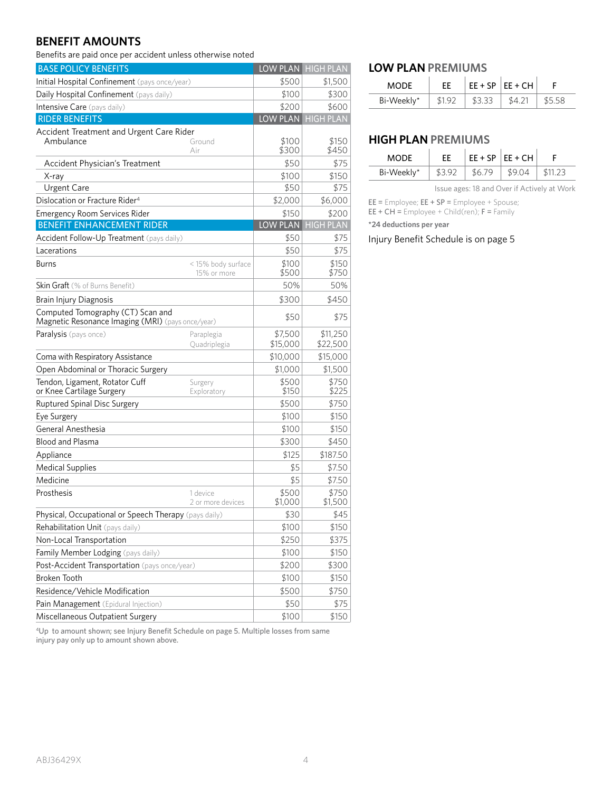# **BENEFIT AMOUNTS**

Benefits are paid once per accident unless otherwise noted

| <b>BASE POLICY BENEFITS</b>                                                            |                                   |                  | LOW PLAN HIGH PLAN |
|----------------------------------------------------------------------------------------|-----------------------------------|------------------|--------------------|
| Initial Hospital Confinement (pays once/year)                                          |                                   | \$500            | \$1,500            |
| Daily Hospital Confinement (pays daily)                                                |                                   | \$100            | \$300              |
| Intensive Care (pays daily)                                                            |                                   | \$200            | \$600              |
| <b>RIDER BENEFITS</b>                                                                  |                                   | LOW PLAN         | <b>HIGH PLAN</b>   |
| Accident Treatment and Urgent Care Rider                                               |                                   |                  |                    |
| Ambulance                                                                              | Ground<br>Air                     | \$100<br>\$300   | \$150<br>\$450     |
| <b>Accident Physician's Treatment</b>                                                  |                                   | \$50             | \$75               |
| X-ray                                                                                  |                                   | \$100            | \$150              |
| Urgent Care                                                                            |                                   | \$50             | \$75               |
| Dislocation or Fracture Rider <sup>4</sup>                                             |                                   | \$2,000          | \$6,000            |
| <b>Emergency Room Services Rider</b>                                                   |                                   | \$150            | \$200              |
| <b>BENEFIT ENHANCEMENT RIDER</b>                                                       |                                   | LOW PLAN         | <b>HIGH PLAN</b>   |
| Accident Follow-Up Treatment (pays daily)                                              |                                   | \$50             | \$75               |
| Lacerations                                                                            |                                   | \$50             | \$75               |
| <b>Burns</b>                                                                           | < 15% body surface<br>15% or more | \$100<br>\$500   | \$150<br>\$750     |
| <b>Skin Graft</b> (% of Burns Benefit)                                                 |                                   | 50%              | 50%                |
| Brain Injury Diagnosis                                                                 |                                   | \$300            | \$450              |
| Computed Tomography (CT) Scan and<br>Magnetic Resonance Imaging (MRI) (pays once/year) |                                   | \$50             | \$75               |
| Paralysis (pays once)                                                                  | Paraplegia                        | \$7,500          | \$11,250           |
|                                                                                        | Quadriplegia                      | \$15,000         | \$22,500           |
| Coma with Respiratory Assistance                                                       |                                   | \$10,000         | \$15,000           |
| Open Abdominal or Thoracic Surgery                                                     |                                   | \$1,000          | \$1,500            |
| Tendon, Ligament, Rotator Cuff<br>or Knee Cartilage Surgery                            | Surgery<br>Exploratory            | \$500<br>\$150   | \$750<br>\$225     |
| Ruptured Spinal Disc Surgery                                                           |                                   | \$500            | \$750              |
| Eye Surgery                                                                            |                                   | \$100            | \$150              |
| General Anesthesia                                                                     |                                   | \$100            | \$150              |
| <b>Blood and Plasma</b>                                                                |                                   | \$300            | \$450              |
| Appliance                                                                              |                                   | \$125            | \$187.50           |
| <b>Medical Supplies</b>                                                                |                                   | \$5              | \$7.50             |
| Medicine                                                                               |                                   | \$5              | \$7.50             |
| Prosthesis                                                                             | 1 device<br>2 or more devices     | \$500<br>\$1,000 | \$750<br>\$1,500   |
| Physical, Occupational or Speech Therapy (pays daily)                                  |                                   | \$30             | \$45               |
| Rehabilitation Unit (pays daily)                                                       |                                   | \$100            | \$150              |
| Non-Local Transportation                                                               |                                   | \$250            | \$375              |
| Family Member Lodging (pays daily)                                                     |                                   | \$100            | \$150              |
| Post-Accident Transportation (pays once/year)                                          |                                   | \$200            | \$300              |
| Broken Tooth                                                                           |                                   | \$100            | \$150              |
| Residence/Vehicle Modification                                                         |                                   | \$500            | \$750              |
| Pain Management (Epidural Injection)                                                   |                                   | \$50             | \$75               |
| Miscellaneous Outpatient Surgery                                                       |                                   | \$100            | \$150              |

4Up to amount shown; see Injury Benefit Schedule on page 5. Multiple losses from same

# **LOW PLAN PREMIUMS**

| MODE       |       |        | $EE + SP$ $EE + CH$ |        |
|------------|-------|--------|---------------------|--------|
| Bi-Weekly* | - 192 | \$3.33 | \$4.21              | \$5.58 |

# **HIGH PLAN PREMIUMS**

| <b>MODE</b> | ЕE    |        | $EE + SP   EE + CH  $ |       |  |
|-------------|-------|--------|-----------------------|-------|--|
| Bi-Weekly*  | \$392 | \$6.79 | 159.04                | ATEZR |  |

Issue ages: 18 and Over if Actively at Work

 $EE =$  Employee;  $EE + SP =$  Employee + Spouse;

 $EE + CH =$  Employee + Child(ren);  $F =$  Family

**\*24 deductions per year**

Injury Benefit Schedule is on page 5

injury pay only up to amount shown above.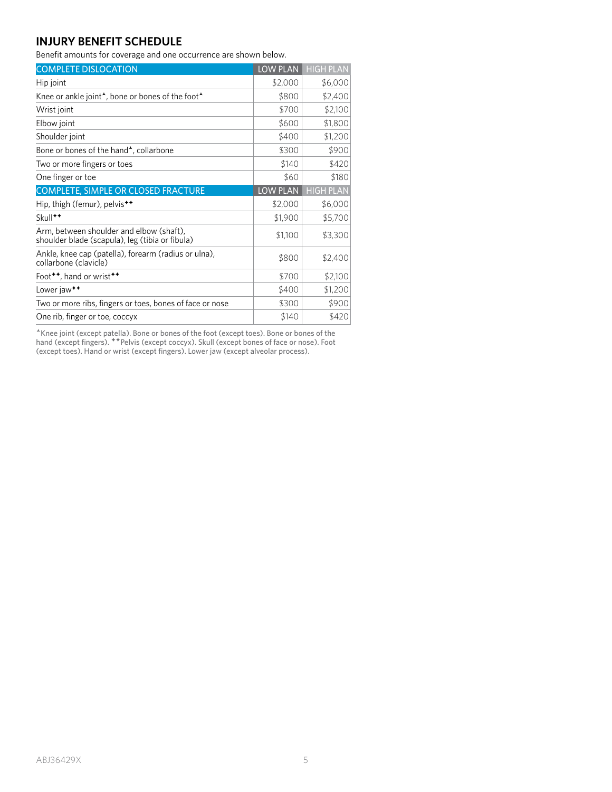# **INJURY BENEFIT SCHEDULE**

Benefit amounts for coverage and one occurrence are shown below.

| <b>COMPLETE DISLOCATION</b>                                                                 | <b>LOW PLAN</b> | <b>HIGH PLAN</b> |
|---------------------------------------------------------------------------------------------|-----------------|------------------|
| Hip joint                                                                                   | \$2,000         | \$6,000          |
| Knee or ankle joint <sup>*</sup> , bone or bones of the foot <sup>*</sup>                   | \$800           | \$2,400          |
| Wrist joint                                                                                 | \$700           | \$2,100          |
| Elbow joint                                                                                 | \$600           | \$1,800          |
| Shoulder joint                                                                              | \$400           | \$1,200          |
| Bone or bones of the hand <sup>*</sup> , collarbone                                         | \$300           | \$900            |
| Two or more fingers or toes                                                                 | \$140           | \$420            |
| One finger or toe                                                                           | \$60            | \$180            |
| COMPLETE, SIMPLE OR CLOSED FRACTURE                                                         | LOW PLAN        | <b>HIGH PLAN</b> |
| Hip, thigh (femur), pelvis <sup>**</sup>                                                    | \$2,000         | \$6,000          |
| Skull <sup>++</sup>                                                                         | \$1,900         | \$5,700          |
| Arm, between shoulder and elbow (shaft),<br>shoulder blade (scapula), leg (tibia or fibula) | \$1,100         | \$3,300          |
| Ankle, knee cap (patella), forearm (radius or ulna),<br>collarbone (clavicle)               | \$800           | \$2,400          |
| Foot <sup>**</sup> , hand or wrist <sup>**</sup>                                            | \$700           | \$2,100          |
| Lower jaw <sup>++</sup>                                                                     | \$400           | \$1,200          |
| Two or more ribs, fingers or toes, bones of face or nose                                    | \$300           | \$900            |
| One rib, finger or toe, coccyx                                                              | \$140           | \$420            |

\*Knee joint (except patella). Bone or bones of the foot (except toes). Bone or bones of the hand (except fingers). \*\*Pelvis (except coccyx). Skull (except bones of face or nose). Foot (except toes). Hand or wrist (except fingers). Lower jaw (except alveolar process).